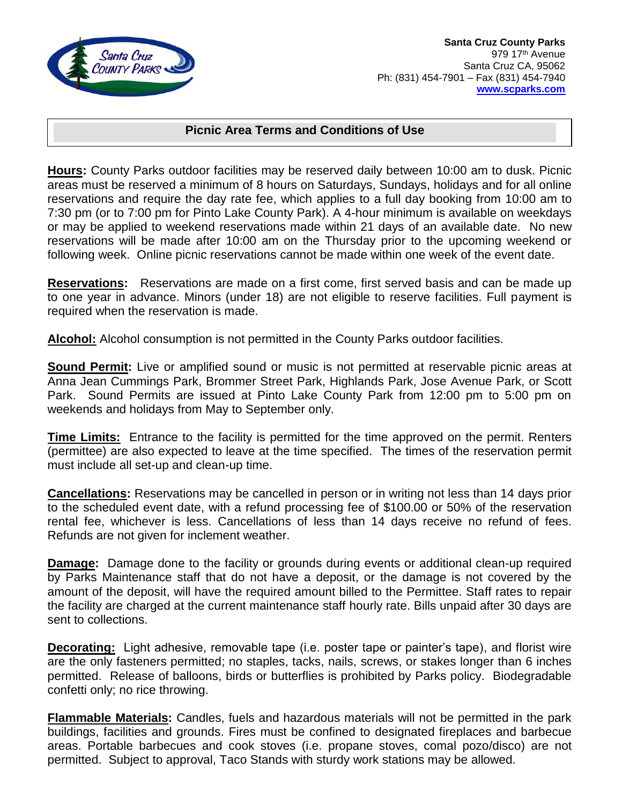

## **Picnic Area Terms and Conditions of Use**

**Hours:** County Parks outdoor facilities may be reserved daily between 10:00 am to dusk. Picnic areas must be reserved a minimum of 8 hours on Saturdays, Sundays, holidays and for all online reservations and require the day rate fee, which applies to a full day booking from 10:00 am to 7:30 pm (or to 7:00 pm for Pinto Lake County Park). A 4-hour minimum is available on weekdays or may be applied to weekend reservations made within 21 days of an available date. No new reservations will be made after 10:00 am on the Thursday prior to the upcoming weekend or following week. Online picnic reservations cannot be made within one week of the event date.

**Reservations:** Reservations are made on a first come, first served basis and can be made up to one year in advance. Minors (under 18) are not eligible to reserve facilities. Full payment is required when the reservation is made.

**Alcohol:** Alcohol consumption is not permitted in the County Parks outdoor facilities.

**Sound Permit:** Live or amplified sound or music is not permitted at reservable picnic areas at Anna Jean Cummings Park, Brommer Street Park, Highlands Park, Jose Avenue Park, or Scott Park. Sound Permits are issued at Pinto Lake County Park from 12:00 pm to 5:00 pm on weekends and holidays from May to September only.

**Time Limits:** Entrance to the facility is permitted for the time approved on the permit. Renters (permittee) are also expected to leave at the time specified. The times of the reservation permit must include all set-up and clean-up time.

**Cancellations:** Reservations may be cancelled in person or in writing not less than 14 days prior to the scheduled event date, with a refund processing fee of \$100.00 or 50% of the reservation rental fee, whichever is less. Cancellations of less than 14 days receive no refund of fees. Refunds are not given for inclement weather.

**Damage:** Damage done to the facility or grounds during events or additional clean-up required by Parks Maintenance staff that do not have a deposit, or the damage is not covered by the amount of the deposit, will have the required amount billed to the Permittee. Staff rates to repair the facility are charged at the current maintenance staff hourly rate. Bills unpaid after 30 days are sent to collections.

**Decorating:** Light adhesive, removable tape (i.e. poster tape or painter's tape), and florist wire are the only fasteners permitted; no staples, tacks, nails, screws, or stakes longer than 6 inches permitted. Release of balloons, birds or butterflies is prohibited by Parks policy. Biodegradable confetti only; no rice throwing.

**Flammable Materials:** Candles, fuels and hazardous materials will not be permitted in the park buildings, facilities and grounds. Fires must be confined to designated fireplaces and barbecue areas. Portable barbecues and cook stoves (i.e. propane stoves, comal pozo/disco) are not permitted. Subject to approval, Taco Stands with sturdy work stations may be allowed.